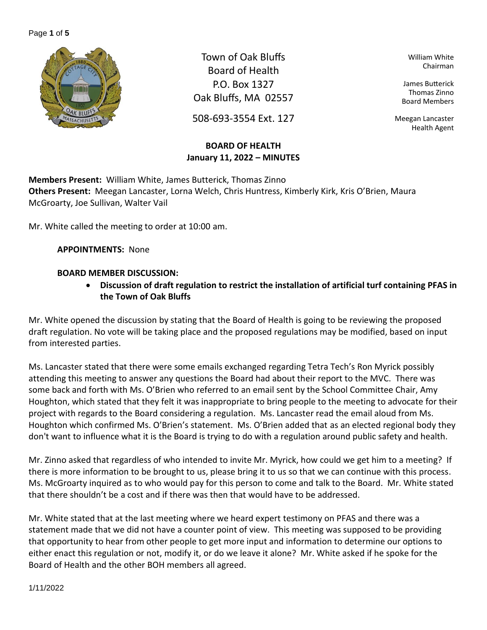#### Page **1** of **5**



Town of Oak Bluffs Board of Health P.O. Box 1327 Oak Bluffs, MA 02557

508-693-3554 Ext. 127

# **BOARD OF HEALTH January 11, 2022 – MINUTES**

William White Chairman

James Butterick Thomas Zinno Board Members

Meegan Lancaster Health Agent

**Members Present:** William White, James Butterick, Thomas Zinno **Others Present:** Meegan Lancaster, Lorna Welch, Chris Huntress, Kimberly Kirk, Kris O'Brien, Maura McGroarty, Joe Sullivan, Walter Vail

Mr. White called the meeting to order at 10:00 am.

**APPOINTMENTS:** None

# **BOARD MEMBER DISCUSSION:**

• **Discussion of draft regulation to restrict the installation of artificial turf containing PFAS in the Town of Oak Bluffs**

Mr. White opened the discussion by stating that the Board of Health is going to be reviewing the proposed draft regulation. No vote will be taking place and the proposed regulations may be modified, based on input from interested parties.

Ms. Lancaster stated that there were some emails exchanged regarding Tetra Tech's Ron Myrick possibly attending this meeting to answer any questions the Board had about their report to the MVC. There was some back and forth with Ms. O'Brien who referred to an email sent by the School Committee Chair, Amy Houghton, which stated that they felt it was inappropriate to bring people to the meeting to advocate for their project with regards to the Board considering a regulation. Ms. Lancaster read the email aloud from Ms. Houghton which confirmed Ms. O'Brien's statement. Ms. O'Brien added that as an elected regional body they don't want to influence what it is the Board is trying to do with a regulation around public safety and health.

Mr. Zinno asked that regardless of who intended to invite Mr. Myrick, how could we get him to a meeting? If there is more information to be brought to us, please bring it to us so that we can continue with this process. Ms. McGroarty inquired as to who would pay for this person to come and talk to the Board. Mr. White stated that there shouldn't be a cost and if there was then that would have to be addressed.

Mr. White stated that at the last meeting where we heard expert testimony on PFAS and there was a statement made that we did not have a counter point of view. This meeting was supposed to be providing that opportunity to hear from other people to get more input and information to determine our options to either enact this regulation or not, modify it, or do we leave it alone? Mr. White asked if he spoke for the Board of Health and the other BOH members all agreed.

1/11/2022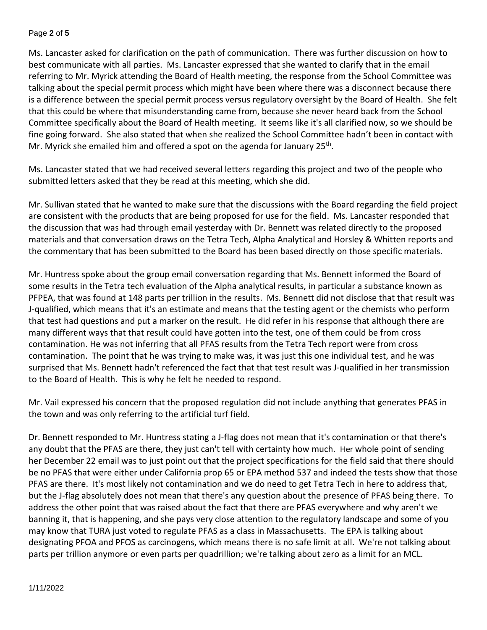#### Page **2** of **5**

Ms. Lancaster asked for clarification on the path of communication. There was further discussion on how to best communicate with all parties. Ms. Lancaster expressed that she wanted to clarify that in the email referring to Mr. Myrick attending the Board of Health meeting, the response from the School Committee was talking about the special permit process which might have been where there was a disconnect because there is a difference between the special permit process versus regulatory oversight by the Board of Health. She felt that this could be where that misunderstanding came from, because she never heard back from the School Committee specifically about the Board of Health meeting. It seems like it's all clarified now, so we should be fine going forward. She also stated that when she realized the School Committee hadn't been in contact with Mr. Myrick she emailed him and offered a spot on the agenda for January 25<sup>th</sup>.

Ms. Lancaster stated that we had received several letters regarding this project and two of the people who submitted letters asked that they be read at this meeting, which she did.

Mr. Sullivan stated that he wanted to make sure that the discussions with the Board regarding the field project are consistent with the products that are being proposed for use for the field. Ms. Lancaster responded that the discussion that was had through email yesterday with Dr. Bennett was related directly to the proposed materials and that conversation draws on the Tetra Tech, Alpha Analytical and Horsley & Whitten reports and the commentary that has been submitted to the Board has been based directly on those specific materials.

Mr. Huntress spoke about the group email conversation regarding that Ms. Bennett informed the Board of some results in the Tetra tech evaluation of the Alpha analytical results, in particular a substance known as PFPEA, that was found at 148 parts per trillion in the results. Ms. Bennett did not disclose that that result was J-qualified, which means that it's an estimate and means that the testing agent or the chemists who perform that test had questions and put a marker on the result. He did refer in his response that although there are many different ways that that result could have gotten into the test, one of them could be from cross contamination. He was not inferring that all PFAS results from the Tetra Tech report were from cross contamination. The point that he was trying to make was, it was just this one individual test, and he was surprised that Ms. Bennett hadn't referenced the fact that that test result was J-qualified in her transmission to the Board of Health. This is why he felt he needed to respond.

Mr. Vail expressed his concern that the proposed regulation did not include anything that generates PFAS in the town and was only referring to the artificial turf field.

Dr. Bennett responded to Mr. Huntress stating a J-flag does not mean that it's contamination or that there's any doubt that the PFAS are there, they just can't tell with certainty how much. Her whole point of sending her December 22 email was to just point out that the project specifications for the field said that there should be no PFAS that were either under California prop 65 or EPA method 537 and indeed the tests show that those PFAS are there. It's most likely not contamination and we do need to get Tetra Tech in here to address that, but the J-flag absolutely does not mean that there's any question about the presence of PFAS being there. To address the other point that was raised about the fact that there are PFAS everywhere and why aren't we banning it, that is happening, and she pays very close attention to the regulatory landscape and some of you may know that TURA just voted to regulate PFAS as a class in Massachusetts. The EPA is talking about designating PFOA and PFOS as carcinogens, which means there is no safe limit at all. We're not talking about parts per trillion anymore or even parts per quadrillion; we're talking about zero as a limit for an MCL.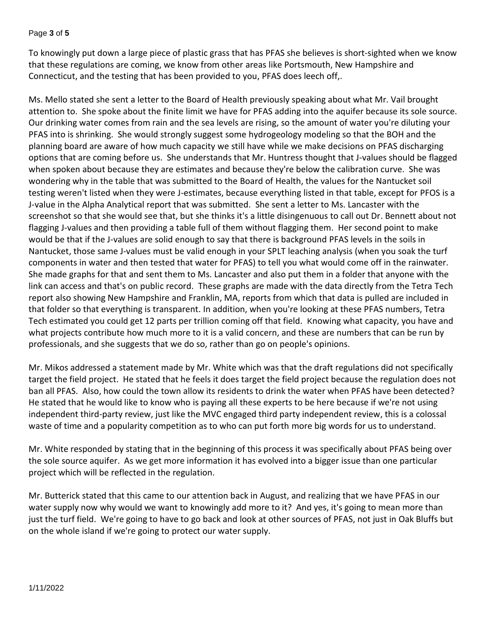#### Page **3** of **5**

To knowingly put down a large piece of plastic grass that has PFAS she believes is short-sighted when we know that these regulations are coming, we know from other areas like Portsmouth, New Hampshire and Connecticut, and the testing that has been provided to you, PFAS does leech off,.

Ms. Mello stated she sent a letter to the Board of Health previously speaking about what Mr. Vail brought attention to. She spoke about the finite limit we have for PFAS adding into the aquifer because its sole source. Our drinking water comes from rain and the sea levels are rising, so the amount of water you're diluting your PFAS into is shrinking. She would strongly suggest some hydrogeology modeling so that the BOH and the planning board are aware of how much capacity we still have while we make decisions on PFAS discharging options that are coming before us. She understands that Mr. Huntress thought that J-values should be flagged when spoken about because they are estimates and because they're below the calibration curve. She was wondering why in the table that was submitted to the Board of Health, the values for the Nantucket soil testing weren't listed when they were J-estimates, because everything listed in that table, except for PFOS is a J-value in the Alpha Analytical report that was submitted. She sent a letter to Ms. Lancaster with the screenshot so that she would see that, but she thinks it's a little disingenuous to call out Dr. Bennett about not flagging J-values and then providing a table full of them without flagging them. Her second point to make would be that if the J-values are solid enough to say that there is background PFAS levels in the soils in Nantucket, those same J-values must be valid enough in your SPLT leaching analysis (when you soak the turf components in water and then tested that water for PFAS) to tell you what would come off in the rainwater. She made graphs for that and sent them to Ms. Lancaster and also put them in a folder that anyone with the link can access and that's on public record. These graphs are made with the data directly from the Tetra Tech report also showing New Hampshire and Franklin, MA, reports from which that data is pulled are included in that folder so that everything is transparent. In addition, when you're looking at these PFAS numbers, Tetra Tech estimated you could get 12 parts per trillion coming off that field. Knowing what capacity, you have and what projects contribute how much more to it is a valid concern, and these are numbers that can be run by professionals, and she suggests that we do so, rather than go on people's opinions.

Mr. Mikos addressed a statement made by Mr. White which was that the draft regulations did not specifically target the field project. He stated that he feels it does target the field project because the regulation does not ban all PFAS. Also, how could the town allow its residents to drink the water when PFAS have been detected? He stated that he would like to know who is paying all these experts to be here because if we're not using independent third-party review, just like the MVC engaged third party independent review, this is a colossal waste of time and a popularity competition as to who can put forth more big words for us to understand.

Mr. White responded by stating that in the beginning of this process it was specifically about PFAS being over the sole source aquifer. As we get more information it has evolved into a bigger issue than one particular project which will be reflected in the regulation.

Mr. Butterick stated that this came to our attention back in August, and realizing that we have PFAS in our water supply now why would we want to knowingly add more to it? And yes, it's going to mean more than just the turf field. We're going to have to go back and look at other sources of PFAS, not just in Oak Bluffs but on the whole island if we're going to protect our water supply.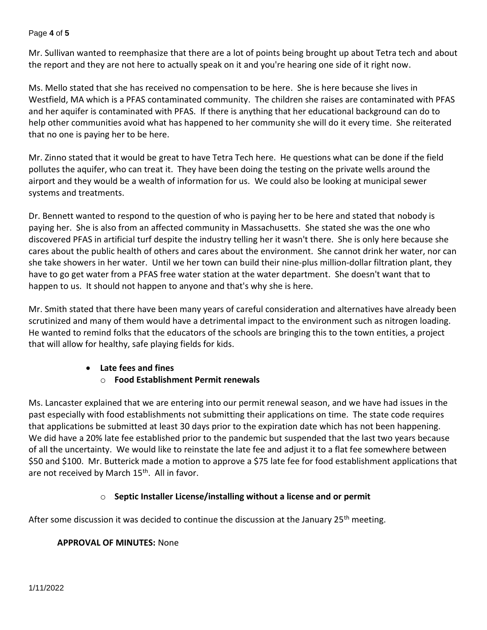#### Page **4** of **5**

Mr. Sullivan wanted to reemphasize that there are a lot of points being brought up about Tetra tech and about the report and they are not here to actually speak on it and you're hearing one side of it right now.

Ms. Mello stated that she has received no compensation to be here. She is here because she lives in Westfield, MA which is a PFAS contaminated community. The children she raises are contaminated with PFAS and her aquifer is contaminated with PFAS. If there is anything that her educational background can do to help other communities avoid what has happened to her community she will do it every time. She reiterated that no one is paying her to be here.

Mr. Zinno stated that it would be great to have Tetra Tech here. He questions what can be done if the field pollutes the aquifer, who can treat it. They have been doing the testing on the private wells around the airport and they would be a wealth of information for us. We could also be looking at municipal sewer systems and treatments.

Dr. Bennett wanted to respond to the question of who is paying her to be here and stated that nobody is paying her. She is also from an affected community in Massachusetts. She stated she was the one who discovered PFAS in artificial turf despite the industry telling her it wasn't there. She is only here because she cares about the public health of others and cares about the environment. She cannot drink her water, nor can she take showers in her water. Until we her town can build their nine-plus million-dollar filtration plant, they have to go get water from a PFAS free water station at the water department. She doesn't want that to happen to us. It should not happen to anyone and that's why she is here.

Mr. Smith stated that there have been many years of careful consideration and alternatives have already been scrutinized and many of them would have a detrimental impact to the environment such as nitrogen loading. He wanted to remind folks that the educators of the schools are bringing this to the town entities, a project that will allow for healthy, safe playing fields for kids.

# • **Late fees and fines**

# o **Food Establishment Permit renewals**

Ms. Lancaster explained that we are entering into our permit renewal season, and we have had issues in the past especially with food establishments not submitting their applications on time. The state code requires that applications be submitted at least 30 days prior to the expiration date which has not been happening. We did have a 20% late fee established prior to the pandemic but suspended that the last two years because of all the uncertainty. We would like to reinstate the late fee and adjust it to a flat fee somewhere between \$50 and \$100. Mr. Butterick made a motion to approve a \$75 late fee for food establishment applications that are not received by March 15<sup>th</sup>. All in favor.

# o **Septic Installer License/installing without a license and or permit**

After some discussion it was decided to continue the discussion at the January  $25<sup>th</sup>$  meeting.

# **APPROVAL OF MINUTES:** None